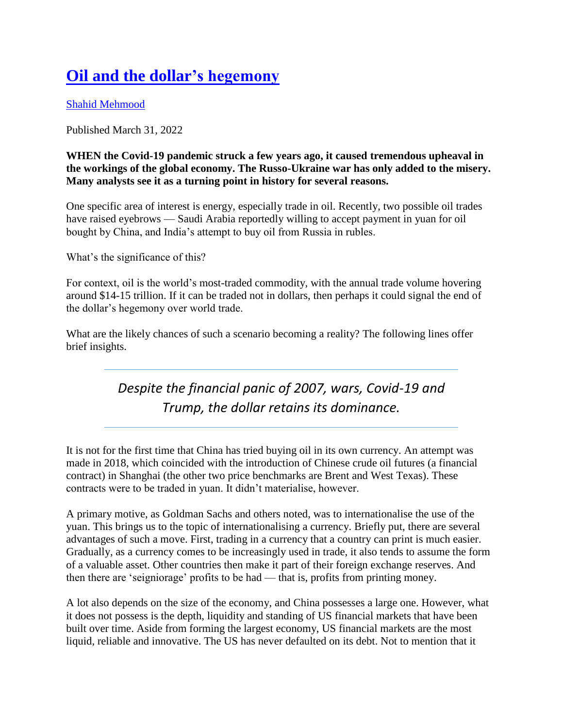## **[Oil and the dollar's hegemony](https://www.dawn.com/news/1682671/oil-and-the-dollars-hegemony)**

[Shahid Mehmood](https://www.dawn.com/authors/6442/shahid-mehmood)

Published March 31, 2022

## **WHEN the Covid-19 pandemic struck a few years ago, it caused tremendous upheaval in the workings of the global economy. The Russo-Ukraine war has only added to the misery. Many analysts see it as a turning point in history for several reasons.**

One specific area of interest is energy, especially trade in oil. Recently, two possible oil trades have raised eyebrows — Saudi Arabia reportedly willing to accept payment in yuan for oil bought by China, and India's attempt to buy oil from Russia in rubles.

What's the significance of this?

For context, oil is the world's most-traded commodity, with the annual trade volume hovering around \$14-15 trillion. If it can be traded not in dollars, then perhaps it could signal the end of the dollar's hegemony over world trade.

What are the likely chances of such a scenario becoming a reality? The following lines offer brief insights.

## *Despite the financial panic of 2007, wars, Covid-19 and Trump, the dollar retains its dominance.*

It is not for the first time that China has tried buying oil in its own currency. An attempt was made in 2018, which coincided with the introduction of Chinese crude oil futures (a financial contract) in Shanghai (the other two price benchmarks are Brent and West Texas). These contracts were to be traded in yuan. It didn't materialise, however.

A primary motive, as Goldman Sachs and others noted, was to internationalise the use of the yuan. This brings us to the topic of internationalising a currency. Briefly put, there are several advantages of such a move. First, trading in a currency that a country can print is much easier. Gradually, as a currency comes to be increasingly used in trade, it also tends to assume the form of a valuable asset. Other countries then make it part of their foreign exchange reserves. And then there are 'seigniorage' profits to be had — that is, profits from printing money.

A lot also depends on the size of the economy, and China possesses a large one. However, what it does not possess is the depth, liquidity and standing of US financial markets that have been built over time. Aside from forming the largest economy, US financial markets are the most liquid, reliable and innovative. The US has never defaulted on its debt. Not to mention that it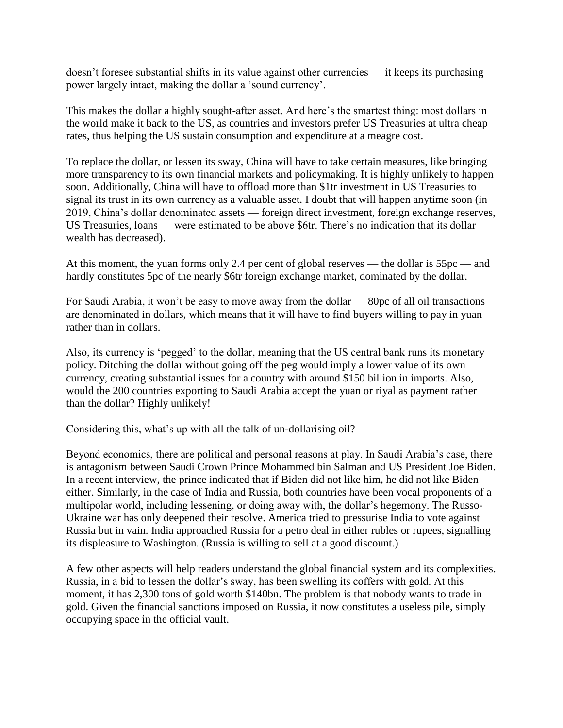doesn't foresee substantial shifts in its value against other currencies — it keeps its purchasing power largely intact, making the dollar a 'sound currency'.

This makes the dollar a highly sought-after asset. And here's the smartest thing: most dollars in the world make it back to the US, as countries and investors prefer US Treasuries at ultra cheap rates, thus helping the US sustain consumption and expenditure at a meagre cost.

To replace the dollar, or lessen its sway, China will have to take certain measures, like bringing more transparency to its own financial markets and policymaking. It is highly unlikely to happen soon. Additionally, China will have to offload more than \$1tr investment in US Treasuries to signal its trust in its own currency as a valuable asset. I doubt that will happen anytime soon (in 2019, China's dollar denominated assets — foreign direct investment, foreign exchange reserves, US Treasuries, loans — were estimated to be above \$6tr. There's no indication that its dollar wealth has decreased).

At this moment, the yuan forms only 2.4 per cent of global reserves — the dollar is 55pc — and hardly constitutes 5pc of the nearly \$6tr foreign exchange market, dominated by the dollar.

For Saudi Arabia, it won't be easy to move away from the dollar — 80pc of all oil transactions are denominated in dollars, which means that it will have to find buyers willing to pay in yuan rather than in dollars.

Also, its currency is 'pegged' to the dollar, meaning that the US central bank runs its monetary policy. Ditching the dollar without going off the peg would imply a lower value of its own currency, creating substantial issues for a country with around \$150 billion in imports. Also, would the 200 countries exporting to Saudi Arabia accept the yuan or riyal as payment rather than the dollar? Highly unlikely!

Considering this, what's up with all the talk of un-dollarising oil?

Beyond economics, there are political and personal reasons at play. In Saudi Arabia's case, there is antagonism between Saudi Crown Prince Mohammed bin Salman and US President Joe Biden. In a recent interview, the prince indicated that if Biden did not like him, he did not like Biden either. Similarly, in the case of India and Russia, both countries have been vocal proponents of a multipolar world, including lessening, or doing away with, the dollar's hegemony. The Russo-Ukraine war has only deepened their resolve. America tried to pressurise India to vote against Russia but in vain. India approached Russia for a petro deal in either rubles or rupees, signalling its displeasure to Washington. (Russia is willing to sell at a good discount.)

A few other aspects will help readers understand the global financial system and its complexities. Russia, in a bid to lessen the dollar's sway, has been swelling its coffers with gold. At this moment, it has 2,300 tons of gold worth \$140bn. The problem is that nobody wants to trade in gold. Given the financial sanctions imposed on Russia, it now constitutes a useless pile, simply occupying space in the official vault.